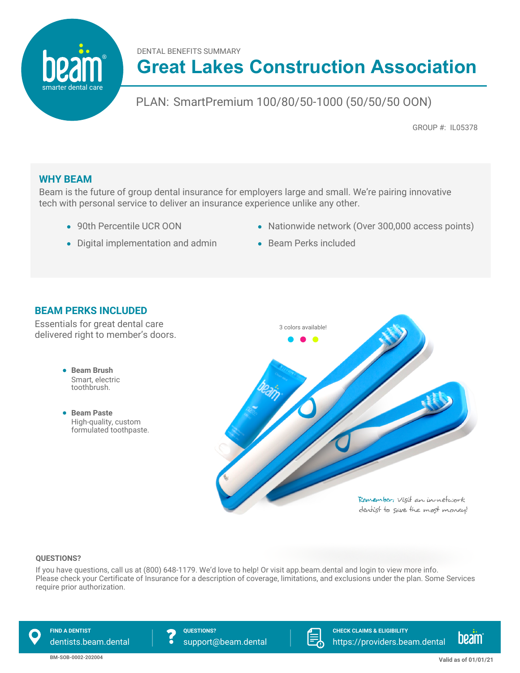DENTAL BENEFITS SUMMARY

# **Great Lakes Construction Association**

## PLAN: SmartPremium 100/80/50-1000 (50/50/50 OON)

GROUP #: IL05378

## **WHY BEAM**

smarter dental care

Beam is the future of group dental insurance for employers large and small. We're pairing innovative tech with personal service to deliver an insurance experience unlike any other.

- 90th Percentile UCR OON
- Digital implementation and admin
- Nationwide network (Over 300,000 access points)
- Beam Perks included

## **BEAM PERKS INCLUDED**

Essentials for great dental care delivered right to member's doors.

- **Beam Brush** Smart, electric toothbrush.
- **Beam Paste** High-quality, custom formulated toothpaste.



#### **QUESTIONS?**

If you have questions, call us at (800) 648-1179. We'd love to help! Or visit app.beam.dental and login to view more info. Please check your Certificate of Insurance for a description of coverage, limitations, and exclusions under the plan. Some Services require prior authorization.

**FIND A DENTIST QUESTIONS?**

dentists.beam.dental  $\overline{\bullet}$  support@beam.dental



**CHECK CLAIMS & ELIGIBILITY** https://providers.beam.dental